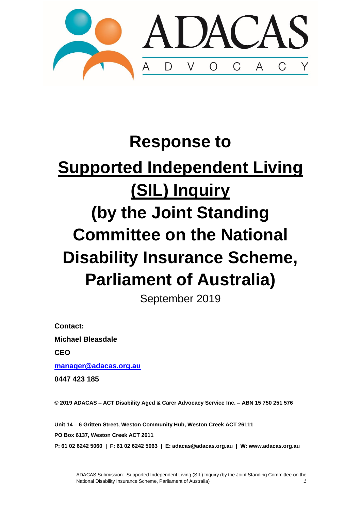

# **Response to Supported Independent Living (SIL) Inquiry (by the Joint Standing Committee on the National Disability Insurance Scheme, Parliament of Australia)**

September 2019

**Contact: Michael Bleasdale CEO [manager@adacas.org.au](mailto:manager@adacas.org.au) 0447 423 185**

**© 2019 ADACAS – ACT Disability Aged & Carer Advocacy Service Inc. – ABN 15 750 251 576**

**Unit 14 – 6 Gritten Street, Weston Community Hub, Weston Creek ACT 26111 PO Box 6137, Weston Creek ACT 2611 P: 61 02 6242 5060 | F: 61 02 6242 5063 | E: adacas@adacas.org.au | W: www.adacas.org.au**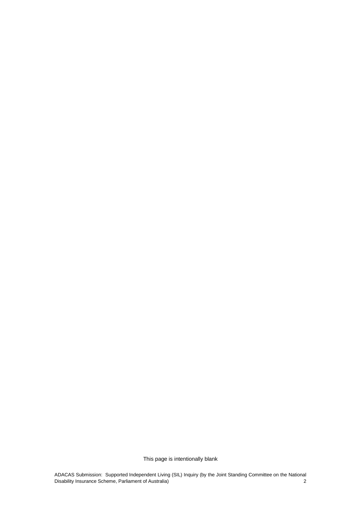This page is intentionally blank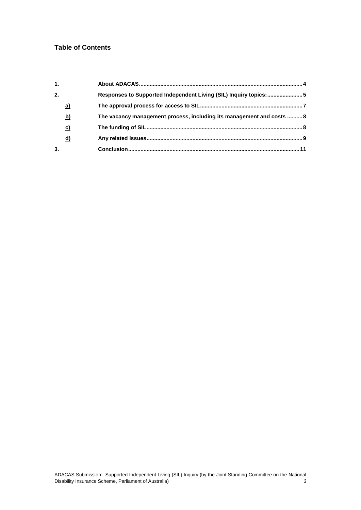#### **Table of Contents**

| 1. |           |                                                                       |  |
|----|-----------|-----------------------------------------------------------------------|--|
| 2. |           | Responses to Supported Independent Living (SIL) Inquiry topics: 5     |  |
|    | <u>a)</u> |                                                                       |  |
|    | b)        | The vacancy management process, including its management and costs  8 |  |
|    | C)        |                                                                       |  |
|    | d)        |                                                                       |  |
| 3. |           |                                                                       |  |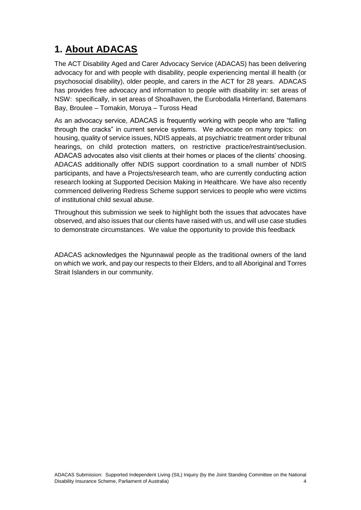## <span id="page-3-0"></span>**1. About ADACAS**

The ACT Disability Aged and Carer Advocacy Service (ADACAS) has been delivering advocacy for and with people with disability, people experiencing mental ill health (or psychosocial disability), older people, and carers in the ACT for 28 years. ADACAS has provides free advocacy and information to people with disability in: set areas of NSW: specifically, in set areas of Shoalhaven, the Eurobodalla Hinterland, Batemans Bay, Broulee – Tomakin, Moruya – Tuross Head

As an advocacy service, ADACAS is frequently working with people who are "falling through the cracks" in current service systems. We advocate on many topics: on housing, quality of service issues, NDIS appeals, at psychiatric treatment order tribunal hearings, on child protection matters, on restrictive practice/restraint/seclusion. ADACAS advocates also visit clients at their homes or places of the clients' choosing. ADACAS additionally offer NDIS support coordination to a small number of NDIS participants, and have a Projects/research team, who are currently conducting action research looking at Supported Decision Making in Healthcare. We have also recently commenced delivering Redress Scheme support services to people who were victims of institutional child sexual abuse.

Throughout this submission we seek to highlight both the issues that advocates have observed, and also issues that our clients have raised with us, and will use case studies to demonstrate circumstances. We value the opportunity to provide this feedback

ADACAS acknowledges the Ngunnawal people as the traditional owners of the land on which we work, and pay our respects to their Elders, and to all Aboriginal and Torres Strait Islanders in our community.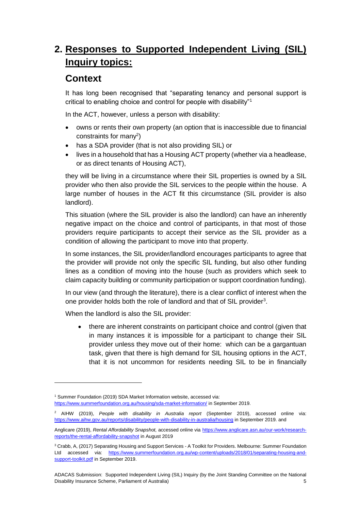## <span id="page-4-0"></span>**2. Responses to Supported Independent Living (SIL) Inquiry topics:**

### **Context**

It has long been recognised that "separating tenancy and personal support is critical to enabling choice and control for people with disability"<sup>1</sup>

In the ACT, however, unless a person with disability:

- owns or rents their own property (an option that is inaccessible due to financial constraints for many<sup>2</sup>)
- has a SDA provider (that is not also providing SIL) or
- lives in a household that has a Housing ACT property (whether via a headlease, or as direct tenants of Housing ACT),

they will be living in a circumstance where their SIL properties is owned by a SIL provider who then also provide the SIL services to the people within the house. A large number of houses in the ACT fit this circumstance (SIL provider is also landlord).

This situation (where the SIL provider is also the landlord) can have an inherently negative impact on the choice and control of participants, in that most of those providers require participants to accept their service as the SIL provider as a condition of allowing the participant to move into that property.

In some instances, the SIL provider/landlord encourages participants to agree that the provider will provide not only the specific SIL funding, but also other funding lines as a condition of moving into the house (such as providers which seek to claim capacity building or community participation or support coordination funding).

In our view (and through the literature), there is a clear conflict of interest when the one provider holds both the role of landlord and that of SIL provider<sup>3</sup>.

When the landlord is also the SIL provider:

• there are inherent constraints on participant choice and control (given that in many instances it is impossible for a participant to change their SIL provider unless they move out of their home: which can be a gargantuan task, given that there is high demand for SIL housing options in the ACT, that it is not uncommon for residents needing SIL to be in financially

<sup>1</sup> Summer Foundation (2019) SDA Market Information website, accessed via:

<https://www.summerfoundation.org.au/housing/sda-market-information/> in September 2019.

<sup>2</sup> AIHW (2019), *People with disability in Australia report* (September 2019), accessed online via: <https://www.aihw.gov.au/reports/disability/people-with-disability-in-australia/housing> in September 2019. and

Anglicare (2019), *Rental Affordability Snapshot,* accessed online via [https://www.anglicare.asn.au/our-work/research](https://www.anglicare.asn.au/our-work/research-reports/the-rental-affordability-snapshot)[reports/the-rental-affordability-snapshot](https://www.anglicare.asn.au/our-work/research-reports/the-rental-affordability-snapshot) in August 2019

<sup>3</sup> Crabb, A, (2017) Separating Housing and Support Services - A Toolkit for Providers. Melbourne: Summer Foundation Ltd accessed via: [https://www.summerfoundation.org.au/wp-content/uploads/2018/01/separating-housing-and](https://www.summerfoundation.org.au/wp-content/uploads/2018/01/separating-housing-and-support-toolkit.pdf)[support-toolkit.pdf](https://www.summerfoundation.org.au/wp-content/uploads/2018/01/separating-housing-and-support-toolkit.pdf) in September 2019.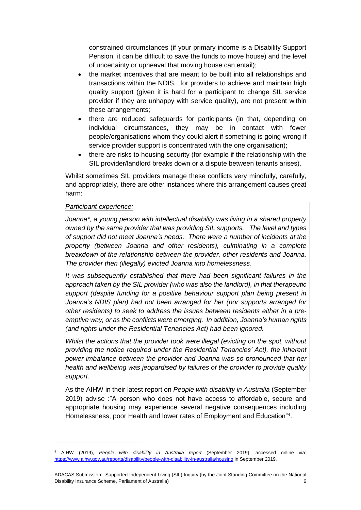constrained circumstances (if your primary income is a Disability Support Pension, it can be difficult to save the funds to move house) and the level of uncertainty or upheaval that moving house can entail);

- the market incentives that are meant to be built into all relationships and transactions within the NDIS, for providers to achieve and maintain high quality support (given it is hard for a participant to change SIL service provider if they are unhappy with service quality), are not present within these arrangements;
- there are reduced safeguards for participants (in that, depending on individual circumstances, they may be in contact with fewer people/organisations whom they could alert if something is going wrong if service provider support is concentrated with the one organisation);
- there are risks to housing security (for example if the relationship with the SIL provider/landlord breaks down or a dispute between tenants arises).

Whilst sometimes SIL providers manage these conflicts very mindfully, carefully, and appropriately, there are other instances where this arrangement causes great harm:

#### *Participant experience:*

*Joanna\*, a young person with intellectual disability was living in a shared property owned by the same provider that was providing SIL supports. The level and types of support did not meet Joanna's needs. There were a number of incidents at the property (between Joanna and other residents), culminating in a complete breakdown of the relationship between the provider, other residents and Joanna. The provider then (illegally) evicted Joanna into homelessness.* 

*It was subsequently established that there had been significant failures in the approach taken by the SIL provider (who was also the landlord), in that therapeutic support (despite funding for a positive behaviour support plan being present in Joanna's NDIS plan) had not been arranged for her (nor supports arranged for other residents) to seek to address the issues between residents either in a preemptive way, or as the conflicts were emerging. In addition, Joanna's human rights (and rights under the Residential Tenancies Act) had been ignored.*

*Whilst the actions that the provider took were illegal (evicting on the spot, without providing the notice required under the Residential Tenancies' Act), the inherent power imbalance between the provider and Joanna was so pronounced that her health and wellbeing was jeopardised by failures of the provider to provide quality support.* 

As the AIHW in their latest report on *People with disability in Australia* (September 2019) advise :"A person who does not have access to affordable, secure and appropriate housing may experience several negative consequences including Homelessness, poor Health and lower rates of Employment and Education"<sup>4</sup> .

<sup>4</sup> AIHW (2019), *People with disability in Australia report* (September 2019), accessed online via: <https://www.aihw.gov.au/reports/disability/people-with-disability-in-australia/housing> in September 2019.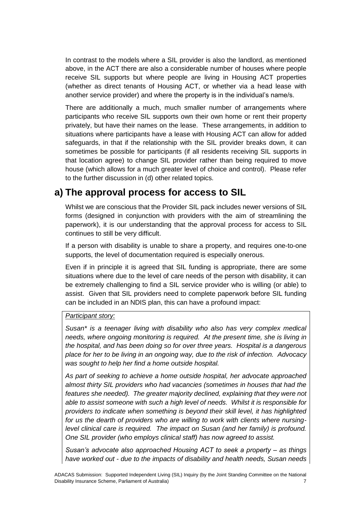In contrast to the models where a SIL provider is also the landlord, as mentioned above, in the ACT there are also a considerable number of houses where people receive SIL supports but where people are living in Housing ACT properties (whether as direct tenants of Housing ACT, or whether via a head lease with another service provider) and where the property is in the individual's name/s.

There are additionally a much, much smaller number of arrangements where participants who receive SIL supports own their own home or rent their property privately, but have their names on the lease. These arrangements, in addition to situations where participants have a lease with Housing ACT can allow for added safeguards, in that if the relationship with the SIL provider breaks down, it can sometimes be possible for participants (if all residents receiving SIL supports in that location agree) to change SIL provider rather than being required to move house (which allows for a much greater level of choice and control). Please refer to the further discussion in (d) other related topics.

## <span id="page-6-0"></span>**a) The approval process for access to SIL**

Whilst we are conscious that the Provider SIL pack includes newer versions of SIL forms (designed in conjunction with providers with the aim of streamlining the paperwork), it is our understanding that the approval process for access to SIL continues to still be very difficult.

If a person with disability is unable to share a property, and requires one-to-one supports, the level of documentation required is especially onerous.

Even if in principle it is agreed that SIL funding is appropriate, there are some situations where due to the level of care needs of the person with disability, it can be extremely challenging to find a SIL service provider who is willing (or able) to assist. Given that SIL providers need to complete paperwork before SIL funding can be included in an NDIS plan, this can have a profound impact:

#### *Participant story:*

*Susan\* is a teenager living with disability who also has very complex medical needs, where ongoing monitoring is required. At the present time, she is living in the hospital, and has been doing so for over three years. Hospital is a dangerous place for her to be living in an ongoing way, due to the risk of infection. Advocacy was sought to help her find a home outside hospital.* 

*As part of seeking to achieve a home outside hospital, her advocate approached almost thirty SIL providers who had vacancies (sometimes in houses that had the features she needed). The greater majority declined, explaining that they were not able to assist someone with such a high level of needs. Whilst it is responsible for providers to indicate when something is beyond their skill level, it has highlighted for us the dearth of providers who are willing to work with clients where nursinglevel clinical care is required. The impact on Susan (and her family) is profound. One SIL provider (who employs clinical staff) has now agreed to assist.* 

*Susan's advocate also approached Housing ACT to seek a property – as things have worked out - due to the impacts of disability and health needs, Susan needs*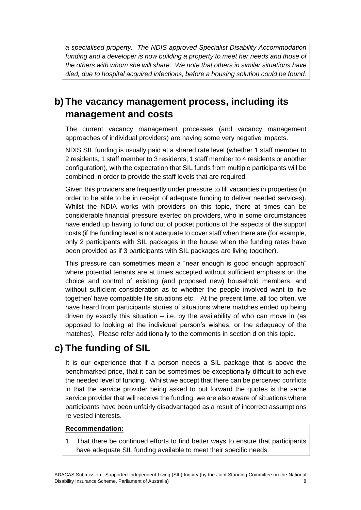*a specialised property. The NDIS approved Specialist Disability Accommodation funding and a developer is now building a property to meet her needs and those of the others with whom she will share. We note that others in similar situations have died, due to hospital acquired infections, before a housing solution could be found.*

## <span id="page-7-0"></span>**b) The vacancy management process, including its management and costs**

The current vacancy management processes (and vacancy management approaches of individual providers) are having some very negative impacts.

NDIS SIL funding is usually paid at a shared rate level (whether 1 staff member to 2 residents, 1 staff member to 3 residents, 1 staff member to 4 residents or another configuration), with the expectation that SIL funds from multiple participants will be combined in order to provide the staff levels that are required.

Given this providers are frequently under pressure to fill vacancies in properties (in order to be able to be in receipt of adequate funding to deliver needed services). Whilst the NDIA works with providers on this topic, there at times can be considerable financial pressure exerted on providers, who in some circumstances have ended up having to fund out of pocket portions of the aspects of the support costs (if the funding level is not adequate to cover staff when there are (for example, only 2 participants with SIL packages in the house when the funding rates have been provided as if 3 participants with SIL packages are living together).

This pressure can sometimes mean a "near enough is good enough approach" where potential tenants are at times accepted without sufficient emphasis on the choice and control of existing (and proposed new) household members, and without sufficient consideration as to whether the people involved want to live together/ have compatible life situations etc. At the present time, all too often, we have heard from participants stories of situations where matches ended up being driven by exactly this situation  $-$  i.e. by the availability of who can move in (as opposed to looking at the individual person's wishes, or the adequacy of the matches). Please refer additionally to the comments in section d on this topic.

## <span id="page-7-1"></span>**c) The funding of SIL**

It is our experience that if a person needs a SIL package that is above the benchmarked price, that it can be sometimes be exceptionally difficult to achieve the needed level of funding. Whilst we accept that there can be perceived conflicts in that the service provider being asked to put forward the quotes is the same service provider that will receive the funding, we are also aware of situations where participants have been unfairly disadvantaged as a result of incorrect assumptions re vested interests.

#### **Recommendation:**

1. That there be continued efforts to find better ways to ensure that participants have adequate SIL funding available to meet their specific needs.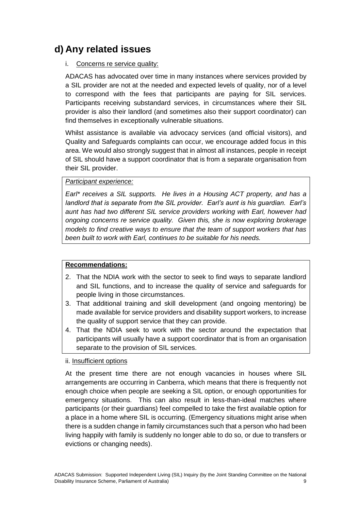## <span id="page-8-0"></span>**d) Any related issues**

#### i. Concerns re service quality:

ADACAS has advocated over time in many instances where services provided by a SIL provider are not at the needed and expected levels of quality, nor of a level to correspond with the fees that participants are paying for SIL services. Participants receiving substandard services, in circumstances where their SIL provider is also their landlord (and sometimes also their support coordinator) can find themselves in exceptionally vulnerable situations.

Whilst assistance is available via advocacy services (and official visitors), and Quality and Safeguards complaints can occur, we encourage added focus in this area. We would also strongly suggest that in almost all instances, people in receipt of SIL should have a support coordinator that is from a separate organisation from their SIL provider.

#### *Participant experience:*

*Earl\* receives a SIL supports. He lives in a Housing ACT property, and has a landlord that is separate from the SIL provider. Earl's aunt is his guardian. Earl's aunt has had two different SIL service providers working with Earl, however had ongoing concerns re service quality. Given this, she is now exploring brokerage models to find creative ways to ensure that the team of support workers that has been built to work with Earl, continues to be suitable for his needs.* 

#### **Recommendations:**

- 2. That the NDIA work with the sector to seek to find ways to separate landlord and SIL functions, and to increase the quality of service and safeguards for people living in those circumstances.
- 3. That additional training and skill development (and ongoing mentoring) be made available for service providers and disability support workers, to increase the quality of support service that they can provide.
- 4. That the NDIA seek to work with the sector around the expectation that participants will usually have a support coordinator that is from an organisation separate to the provision of SIL services.

#### ii. Insufficient options

At the present time there are not enough vacancies in houses where SIL arrangements are occurring in Canberra, which means that there is frequently not enough choice when people are seeking a SIL option, or enough opportunities for emergency situations. This can also result in less-than-ideal matches where participants (or their guardians) feel compelled to take the first available option for a place in a home where SIL is occurring. (Emergency situations might arise when there is a sudden change in family circumstances such that a person who had been living happily with family is suddenly no longer able to do so, or due to transfers or evictions or changing needs).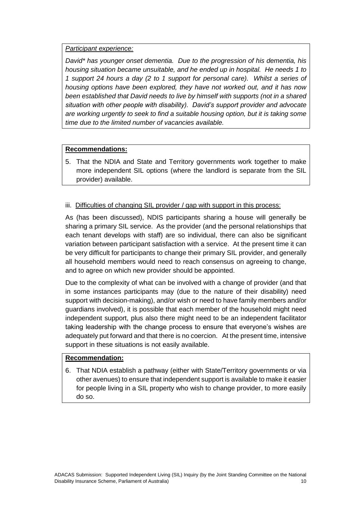#### *Participant experience:*

*David\* has younger onset dementia. Due to the progression of his dementia, his housing situation became unsuitable, and he ended up in hospital. He needs 1 to 1 support 24 hours a day (2 to 1 support for personal care). Whilst a series of housing options have been explored, they have not worked out, and it has now been established that David needs to live by himself with supports (not in a shared situation with other people with disability). David's support provider and advocate are working urgently to seek to find a suitable housing option, but it is taking some time due to the limited number of vacancies available.* 

#### **Recommendations:**

5. That the NDIA and State and Territory governments work together to make more independent SIL options (where the landlord is separate from the SIL provider) available.

#### iii. Difficulties of changing SIL provider / gap with support in this process:

As (has been discussed), NDIS participants sharing a house will generally be sharing a primary SIL service. As the provider (and the personal relationships that each tenant develops with staff) are so individual, there can also be significant variation between participant satisfaction with a service. At the present time it can be very difficult for participants to change their primary SIL provider, and generally all household members would need to reach consensus on agreeing to change, and to agree on which new provider should be appointed.

Due to the complexity of what can be involved with a change of provider (and that in some instances participants may (due to the nature of their disability) need support with decision-making), and/or wish or need to have family members and/or guardians involved), it is possible that each member of the household might need independent support, plus also there might need to be an independent facilitator taking leadership with the change process to ensure that everyone's wishes are adequately put forward and that there is no coercion. At the present time, intensive support in these situations is not easily available.

#### **Recommendation:**

6. That NDIA establish a pathway (either with State/Territory governments or via other avenues) to ensure that independent support is available to make it easier for people living in a SIL property who wish to change provider, to more easily do so.